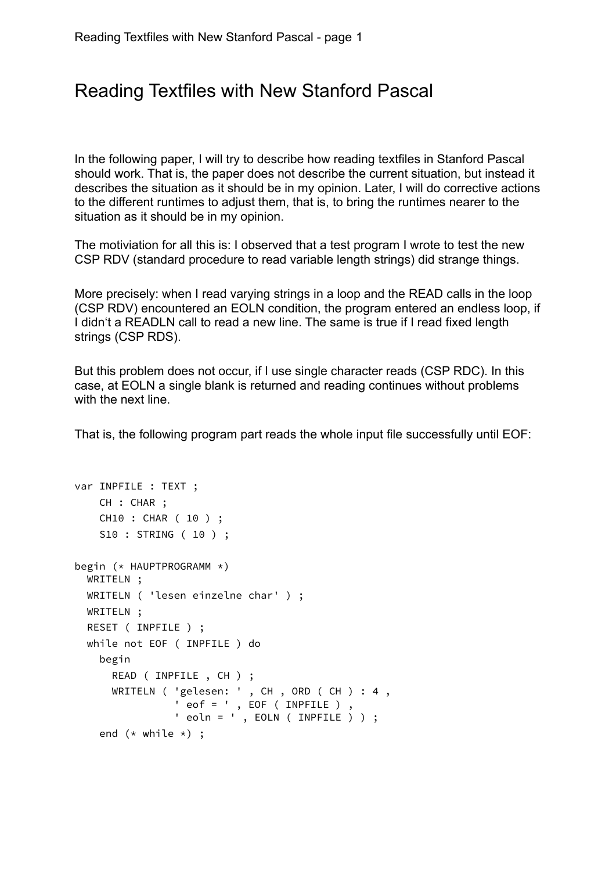## Reading Textfiles with New Stanford Pascal

In the following paper, I will try to describe how reading textfiles in Stanford Pascal should work. That is, the paper does not describe the current situation, but instead it describes the situation as it should be in my opinion. Later, I will do corrective actions to the different runtimes to adjust them, that is, to bring the runtimes nearer to the situation as it should be in my opinion.

The motiviation for all this is: I observed that a test program I wrote to test the new CSP RDV (standard procedure to read variable length strings) did strange things.

More precisely: when I read varying strings in a loop and the READ calls in the loop (CSP RDV) encountered an EOLN condition, the program entered an endless loop, if I didn't a READLN call to read a new line. The same is true if I read fixed length strings (CSP RDS).

But this problem does not occur, if I use single character reads (CSP RDC). In this case, at EOLN a single blank is returned and reading continues without problems with the next line.

That is, the following program part reads the whole input file successfully until EOF:

```
var INPFILE : TEXT ;
    CH : CHAR ;
    CH10 : CHAR ( 10 ) ;
    S10 : STRING ( 10 ) ;
begin (* HAUPTPROGRAMM *)
  WRITELN ;
  WRITELN ( 'lesen einzelne char' ) ;
  WRITELN ;
  RESET ( INPFILE ) ;
  while not EOF ( INPFILE ) do
    begin
      READ ( INPFILE , CH ) ;
      WRITELN ( 'gelesen: ' , CH , ORD ( CH ) : 4 , 
 ' eof = ' , EOF ( INPFILE ) , 
 ' eoln = ' , EOLN ( INPFILE ) ) ;
    end (* while *) ;
```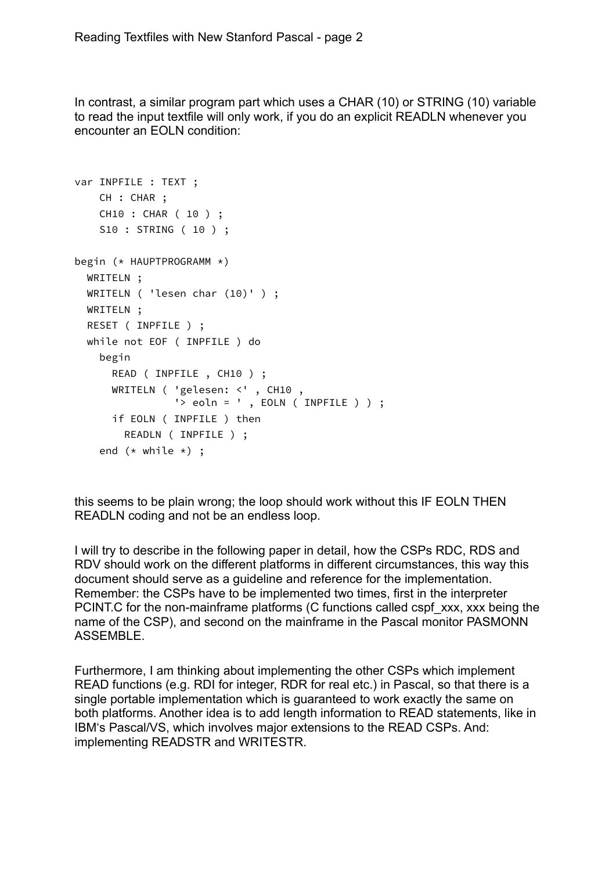In contrast, a similar program part which uses a CHAR (10) or STRING (10) variable to read the input textfile will only work, if you do an explicit READLN whenever you encounter an EOLN condition:

```
var INPFILE : TEXT ;
     CH : CHAR ;
     CH10 : CHAR ( 10 ) ;
     S10 : STRING ( 10 ) ;
begin (* HAUPTPROGRAMM *)
   WRITELN ;
  WRITELN ( 'lesen char (10)' ) ;
   WRITELN ;
   RESET ( INPFILE ) ;
   while not EOF ( INPFILE ) do
     begin
       READ ( INPFILE , CH10 ) ;
       WRITELN ( 'gelesen: <' , CH10 , 
                 '> eoln = ', EOLN ( INPFILE ) ) ;
       if EOLN ( INPFILE ) then
         READLN ( INPFILE ) ;
    end (* while *) ;
```
this seems to be plain wrong; the loop should work without this IF EOLN THEN READLN coding and not be an endless loop.

I will try to describe in the following paper in detail, how the CSPs RDC, RDS and RDV should work on the different platforms in different circumstances, this way this document should serve as a guideline and reference for the implementation. Remember: the CSPs have to be implemented two times, first in the interpreter PCINT.C for the non-mainframe platforms (C functions called cspf\_xxx, xxx being the name of the CSP), and second on the mainframe in the Pascal monitor PASMONN ASSEMBLE.

Furthermore, I am thinking about implementing the other CSPs which implement READ functions (e.g. RDI for integer, RDR for real etc.) in Pascal, so that there is a single portable implementation which is guaranteed to work exactly the same on both platforms. Another idea is to add length information to READ statements, like in IBM's Pascal/VS, which involves major extensions to the READ CSPs. And: implementing READSTR and WRITESTR.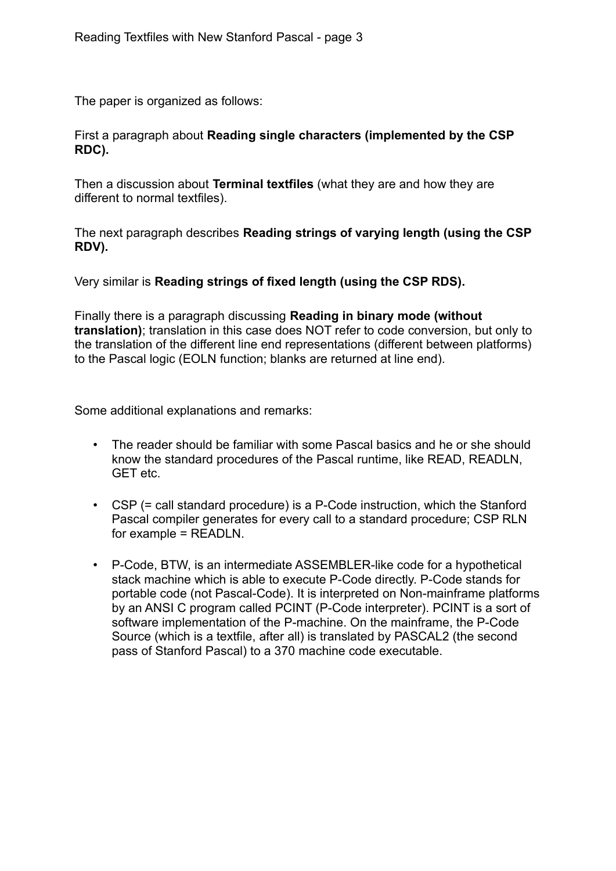The paper is organized as follows:

First a paragraph about **Reading single characters (implemented by the CSP RDC).** 

Then a discussion about **Terminal textfiles** (what they are and how they are different to normal textfiles).

The next paragraph describes **Reading strings of varying length (using the CSP RDV).** 

Very similar is **Reading strings of fixed length (using the CSP RDS).** 

Finally there is a paragraph discussing **Reading in binary mode (without translation)**; translation in this case does NOT refer to code conversion, but only to the translation of the different line end representations (different between platforms) to the Pascal logic (EOLN function; blanks are returned at line end).

Some additional explanations and remarks:

- The reader should be familiar with some Pascal basics and he or she should know the standard procedures of the Pascal runtime, like READ, READLN, GET etc.
- CSP (= call standard procedure) is a P-Code instruction, which the Stanford Pascal compiler generates for every call to a standard procedure; CSP RLN for example = READLN.
- P-Code, BTW, is an intermediate ASSEMBLER-like code for a hypothetical stack machine which is able to execute P-Code directly. P-Code stands for portable code (not Pascal-Code). It is interpreted on Non-mainframe platforms by an ANSI C program called PCINT (P-Code interpreter). PCINT is a sort of software implementation of the P-machine. On the mainframe, the P-Code Source (which is a textfile, after all) is translated by PASCAL2 (the second pass of Stanford Pascal) to a 370 machine code executable.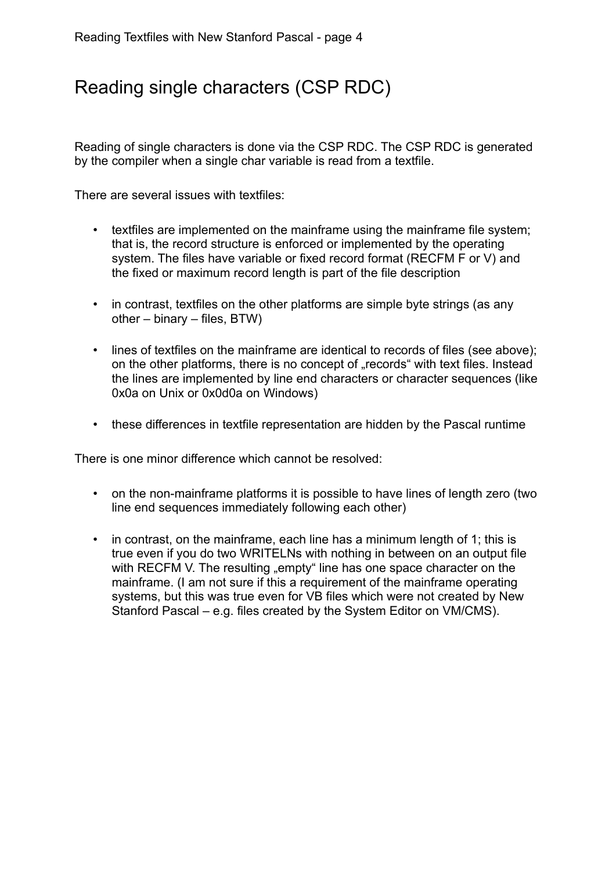# Reading single characters (CSP RDC)

Reading of single characters is done via the CSP RDC. The CSP RDC is generated by the compiler when a single char variable is read from a textfile.

There are several issues with textfiles:

- textfiles are implemented on the mainframe using the mainframe file system; that is, the record structure is enforced or implemented by the operating system. The files have variable or fixed record format (RECFM F or V) and the fixed or maximum record length is part of the file description
- in contrast, textfiles on the other platforms are simple byte strings (as any other – binary – files, BTW)
- lines of textfiles on the mainframe are identical to records of files (see above); on the other platforms, there is no concept of "records" with text files. Instead the lines are implemented by line end characters or character sequences (like 0x0a on Unix or 0x0d0a on Windows)
- these differences in textfile representation are hidden by the Pascal runtime

There is one minor difference which cannot be resolved:

- on the non-mainframe platforms it is possible to have lines of length zero (two line end sequences immediately following each other)
- in contrast, on the mainframe, each line has a minimum length of 1; this is true even if you do two WRITELNs with nothing in between on an output file with RECFM V. The resulting "empty" line has one space character on the mainframe. (I am not sure if this a requirement of the mainframe operating systems, but this was true even for VB files which were not created by New Stanford Pascal – e.g. files created by the System Editor on VM/CMS).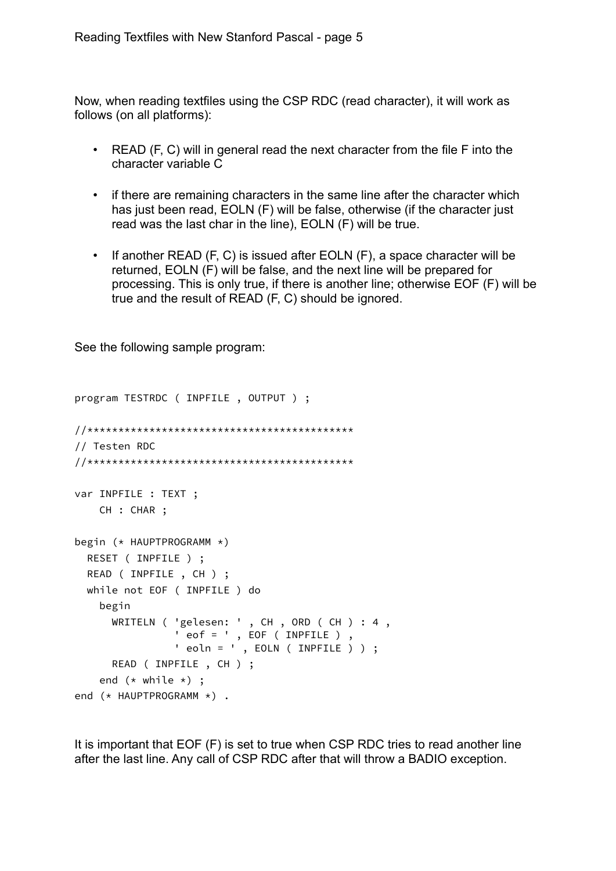Now, when reading textfiles using the CSP RDC (read character), it will work as follows (on all platforms):

- READ (F, C) will in general read the next character from the file F into the character variable C
- if there are remaining characters in the same line after the character which has just been read, EOLN (F) will be false, otherwise (if the character just read was the last char in the line), EOLN (F) will be true.
- If another READ (F, C) is issued after EOLN (F), a space character will be returned, EOLN (F) will be false, and the next line will be prepared for processing. This is only true, if there is another line; otherwise EOF (F) will be true and the result of READ (F, C) should be ignored.

See the following sample program:

```
program TESTRDC ( INPFILE , OUTPUT ) ;
//*******************************************
// Testen RDC 
//*******************************************
var INPFILE : TEXT ;
    CH : CHAR ;
begin (* HAUPTPROGRAMM *)
  RESET ( INPFILE ) ;
  READ ( INPFILE , CH ) ;
  while not EOF ( INPFILE ) do
    begin
      WRITELN ( 'gelesen: ' , CH , ORD ( CH ) : 4 , 
 ' eof = ' , EOF ( INPFILE ) , 
 ' eoln = ' , EOLN ( INPFILE ) ) ;
      READ ( INPFILE , CH ) ;
   end (* while *) ;
end (* HAUPTPROGRAMM *) .
```
It is important that EOF (F) is set to true when CSP RDC tries to read another line after the last line. Any call of CSP RDC after that will throw a BADIO exception.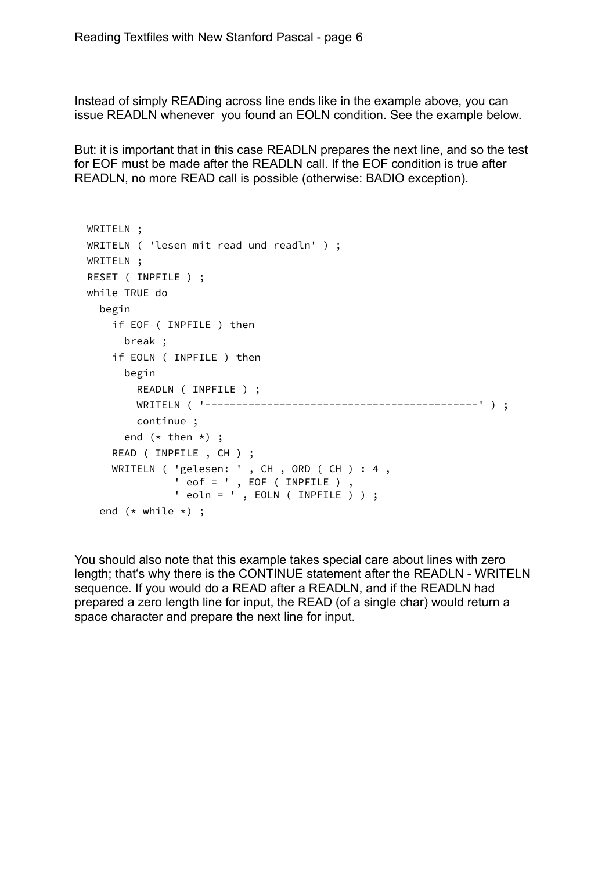Instead of simply READing across line ends like in the example above, you can issue READLN whenever you found an EOLN condition. See the example below.

But: it is important that in this case READLN prepares the next line, and so the test for EOF must be made after the READLN call. If the EOF condition is true after READLN, no more READ call is possible (otherwise: BADIO exception).

```
 WRITELN ;
  WRITELN ( 'lesen mit read und readln' ) ;
  WRITELN ;
  RESET ( INPFILE ) ;
  while TRUE do
    begin
      if EOF ( INPFILE ) then
        break ;
      if EOLN ( INPFILE ) then
        begin
          READLN ( INPFILE ) ;
          WRITELN ( '--------------------------------------------' ) ;
          continue ;
       end (* then *) ;
      READ ( INPFILE , CH ) ;
 WRITELN ( 'gelesen: ' , CH , ORD ( CH ) : 4 , 
 ' eof = ' , EOF ( INPFILE ) , 
 ' eoln = ' , EOLN ( INPFILE ) ) ;
   end (* while *) ;
```
You should also note that this example takes special care about lines with zero length; that's why there is the CONTINUE statement after the READLN - WRITELN sequence. If you would do a READ after a READLN, and if the READLN had prepared a zero length line for input, the READ (of a single char) would return a space character and prepare the next line for input.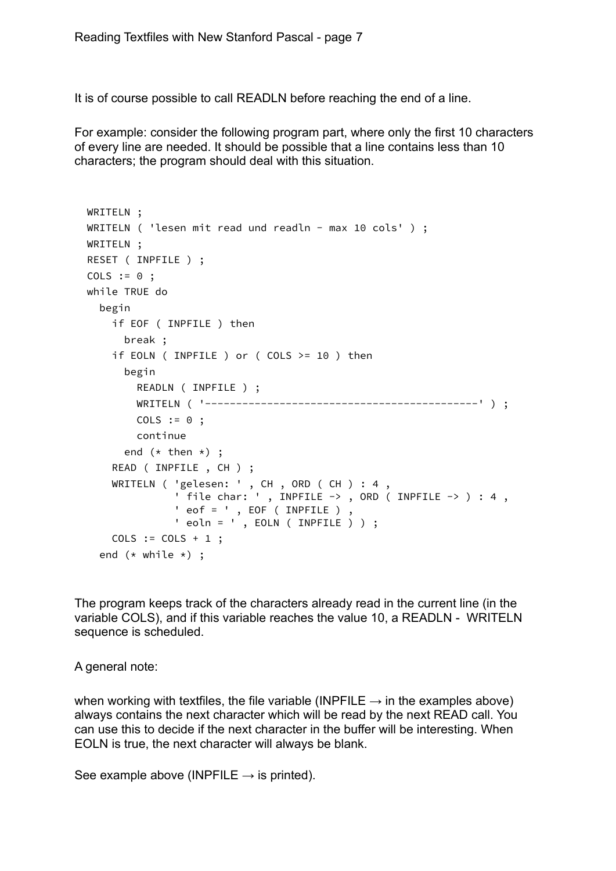It is of course possible to call READLN before reaching the end of a line.

For example: consider the following program part, where only the first 10 characters of every line are needed. It should be possible that a line contains less than 10 characters; the program should deal with this situation.

```
 WRITELN ;
 WRITELN ( 'lesen mit read und readln - max 10 cols' ) ;
  WRITELN ;
  RESET ( INPFILE ) ;
 COLS := 0;
  while TRUE do
    begin
      if EOF ( INPFILE ) then
        break ;
      if EOLN ( INPFILE ) or ( COLS >= 10 ) then
        begin
          READLN ( INPFILE ) ;
          WRITELN ( '--------------------------------------------' ) ;
         COLS := 0 ;
          continue
       end (* then *) ;
      READ ( INPFILE , CH ) ;
 WRITELN ( 'gelesen: ' , CH , ORD ( CH ) : 4 , 
 ' file char: ' , INPFILE -> , ORD ( INPFILE -> ) : 4 ,
                ' eof = ' , EOF ( INPFILE )
                ' eoln = ' , EOLN ( INPFILE ) ) ;
     COLS := COLS + 1 ;
   end (* while *) ;
```
The program keeps track of the characters already read in the current line (in the variable COLS), and if this variable reaches the value 10, a READLN - WRITELN sequence is scheduled.

A general note:

when working with textfiles, the file variable (INPFILE  $\rightarrow$  in the examples above) always contains the next character which will be read by the next READ call. You can use this to decide if the next character in the buffer will be interesting. When EOLN is true, the next character will always be blank.

See example above (INPFILE  $\rightarrow$  is printed).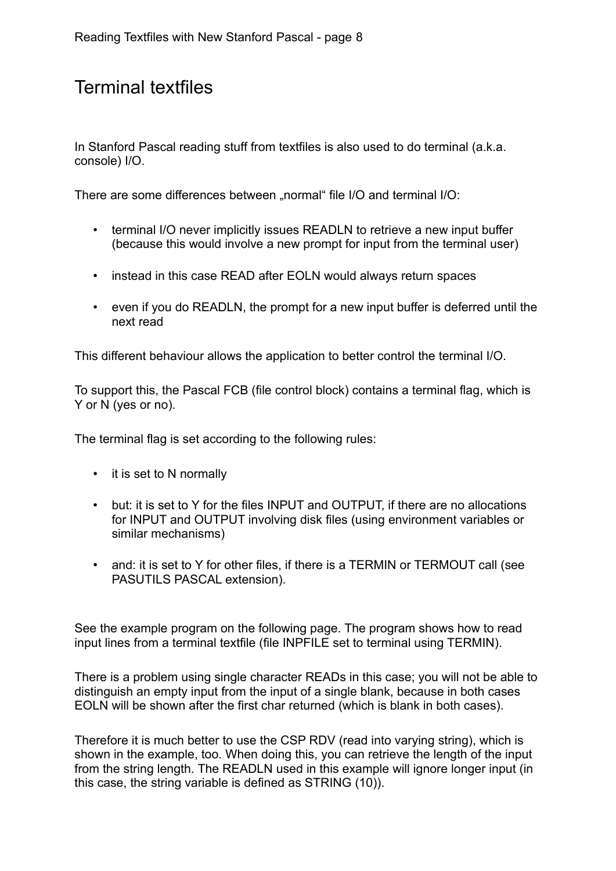# Terminal textfiles

In Stanford Pascal reading stuff from textfiles is also used to do terminal (a.k.a. console) I/O.

There are some differences between "normal" file I/O and terminal I/O:

- terminal I/O never implicitly issues READLN to retrieve a new input buffer (because this would involve a new prompt for input from the terminal user)
- instead in this case READ after EOLN would always return spaces
- even if you do READLN, the prompt for a new input buffer is deferred until the next read

This different behaviour allows the application to better control the terminal I/O.

To support this, the Pascal FCB (file control block) contains a terminal flag, which is Y or N (yes or no).

The terminal flag is set according to the following rules:

- it is set to N normally
- but: it is set to Y for the files INPUT and OUTPUT, if there are no allocations for INPUT and OUTPUT involving disk files (using environment variables or similar mechanisms)
- and: it is set to Y for other files, if there is a TERMIN or TERMOUT call (see PASUTILS PASCAL extension).

See the example program on the following page. The program shows how to read input lines from a terminal textfile (file INPFILE set to terminal using TERMIN).

There is a problem using single character READs in this case; you will not be able to distinguish an empty input from the input of a single blank, because in both cases EOLN will be shown after the first char returned (which is blank in both cases).

Therefore it is much better to use the CSP RDV (read into varying string), which is shown in the example, too. When doing this, you can retrieve the length of the input from the string length. The READLN used in this example will ignore longer input (in this case, the string variable is defined as STRING (10)).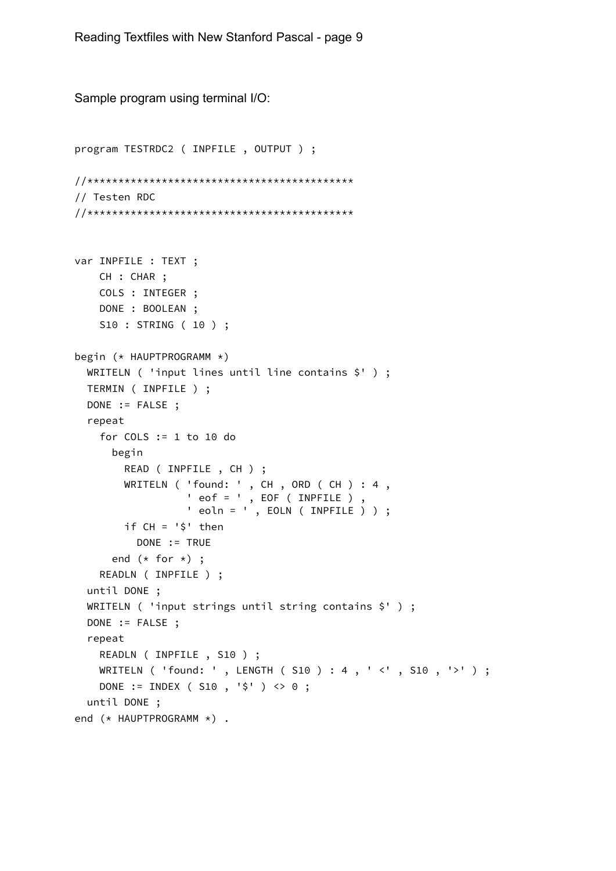```
Sample program using terminal I/O: 
program TESTRDC2 ( INPFILE , OUTPUT ) ;
//*******************************************
// Testen RDC 
//*******************************************
var INPFILE : TEXT ;
     CH : CHAR ;
     COLS : INTEGER ;
     DONE : BOOLEAN ;
     S10 : STRING ( 10 ) ;
begin (* HAUPTPROGRAMM *)
   WRITELN ( 'input lines until line contains $' ) ;
   TERMIN ( INPFILE ) ;
   DONE := FALSE ;
   repeat
     for COLS := 1 to 10 do
       begin
         READ ( INPFILE , CH ) ;
 WRITELN ( 'found: ' , CH , ORD ( CH ) : 4 , 
 ' eof = ' , EOF ( INPFILE ) , 
                  ' eoln = \sqrt{ }, EOLN ( INPFILE ) ) ;
         if CH = '$' then
           DONE := TRUE
      end (* for *) ;
     READLN ( INPFILE ) ;
   until DONE ;
   WRITELN ( 'input strings until string contains $' ) ;
   DONE := FALSE ;
   repeat
     READLN ( INPFILE , S10 ) ;
     WRITELN ( 'found: ' , LENGTH ( S10 ) : 4 , ' <' , S10 , '>' ) ;
     DONE := INDEX ( S10 , '$' ) <> 0 ;
   until DONE ;
end (* HAUPTPROGRAMM *) .
```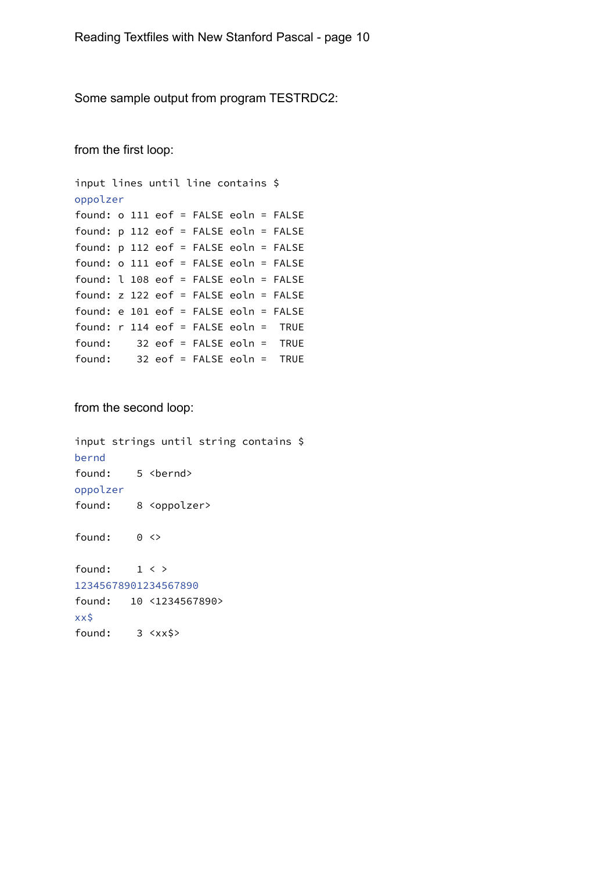Some sample output from program TESTRDC2:

from the first loop:

```
input lines until line contains $
oppolzer
found: o 111 eof = FALSE eoln = FALSE
found: p 112 eof = FALSE eoln = FALSE
found: p 112 eof = FALSE eoln = FALSE
found: o 111 eof = FALSE eoln = FALSE
found: l 108 eof = FALSE eoln = FALSE
found: z 122 eof = FALSE eoln = FALSE
found: e 101 eof = FALSE eoln = FALSE
found: r 114 eof = FALSE eoln = TRUE
found: 32 eof = FALSE eoln = TRUE
found: 32 eof = FALSE eoln = TRUE
```
from the second loop:

input strings until string contains \$ bernd found: 5 <br/>bernd> oppolzer found: 8 <oppolzer> found: 0 <> found: 1 < > 12345678901234567890 found: 10 <1234567890> xx\$ found: 3 <xx\$>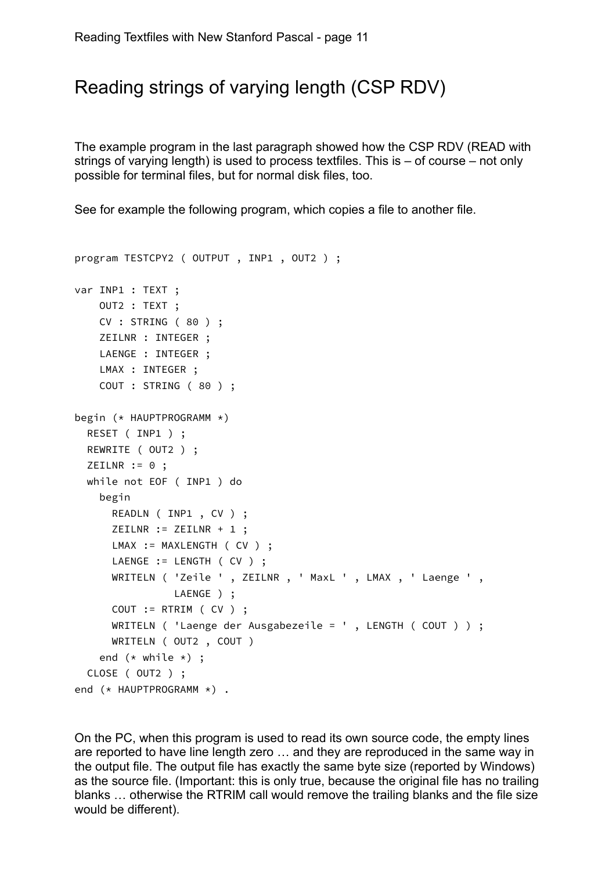## Reading strings of varying length (CSP RDV)

The example program in the last paragraph showed how the CSP RDV (READ with strings of varying length) is used to process textfiles. This is – of course – not only possible for terminal files, but for normal disk files, too.

See for example the following program, which copies a file to another file.

```
program TESTCPY2 ( OUTPUT , INP1 , OUT2 ) ;
var INP1 : TEXT ;
     OUT2 : TEXT ;
     CV : STRING ( 80 ) ;
     ZEILNR : INTEGER ;
     LAENGE : INTEGER ;
     LMAX : INTEGER ;
     COUT : STRING ( 80 ) ;
begin (* HAUPTPROGRAMM *)
   RESET ( INP1 ) ;
   REWRITE ( OUT2 ) ;
  ZEILNR := 0;
   while not EOF ( INP1 ) do
     begin
       READLN ( INP1 , CV ) ;
       ZEILNR := ZEILNR + 1 ;
      LMAX := MAXLENGTH ( CV ) ;
      LAENGE := LENGTH ( CV ) ;
       WRITELN ( 'Zeile ' , ZEILNR , ' MaxL ' , LMAX , ' Laenge ' ,
                LAENGE ) ;
       COUT := RTRIM ( CV ) ;
       WRITELN ( 'Laenge der Ausgabezeile = ' , LENGTH ( COUT ) ) ;
       WRITELN ( OUT2 , COUT )
    end (* while *) ;
   CLOSE ( OUT2 ) ;
end (* HAUPTPROGRAMM *) .
```
On the PC, when this program is used to read its own source code, the empty lines are reported to have line length zero … and they are reproduced in the same way in the output file. The output file has exactly the same byte size (reported by Windows) as the source file. (Important: this is only true, because the original file has no trailing blanks … otherwise the RTRIM call would remove the trailing blanks and the file size would be different).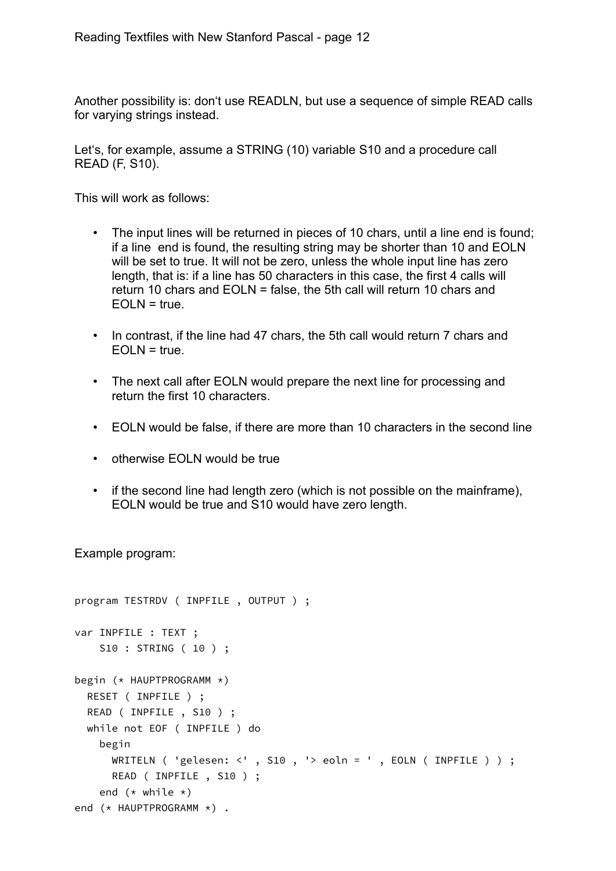Another possibility is: don't use READLN, but use a sequence of simple READ calls for varying strings instead.

Let's, for example, assume a STRING (10) variable S10 and a procedure call READ (F, S10).

This will work as follows:

- The input lines will be returned in pieces of 10 chars, until a line end is found; if a line end is found, the resulting string may be shorter than 10 and EOLN will be set to true. It will not be zero, unless the whole input line has zero length, that is: if a line has 50 characters in this case, the first 4 calls will return 10 chars and EOLN = false, the 5th call will return 10 chars and  $EOLN = true$ .
- In contrast, if the line had 47 chars, the 5th call would return 7 chars and  $EOLN = true$ .
- The next call after EOLN would prepare the next line for processing and return the first 10 characters.
- EOLN would be false, if there are more than 10 characters in the second line
- otherwise EOLN would be true
- if the second line had length zero (which is not possible on the mainframe), EOLN would be true and S10 would have zero length.

Example program:

```
program TESTRDV ( INPFILE , OUTPUT ) ;
var INPFILE : TEXT ;
     S10 : STRING ( 10 ) ;
begin (* HAUPTPROGRAMM *)
   RESET ( INPFILE ) ;
   READ ( INPFILE , S10 ) ;
   while not EOF ( INPFILE ) do
     begin
       WRITELN ( 'gelesen: <' , S10 , '> eoln = ' , EOLN ( INPFILE ) ) ;
       READ ( INPFILE , S10 ) ;
    end (* while *)end (* HAUPTPROGRAMM *) .
```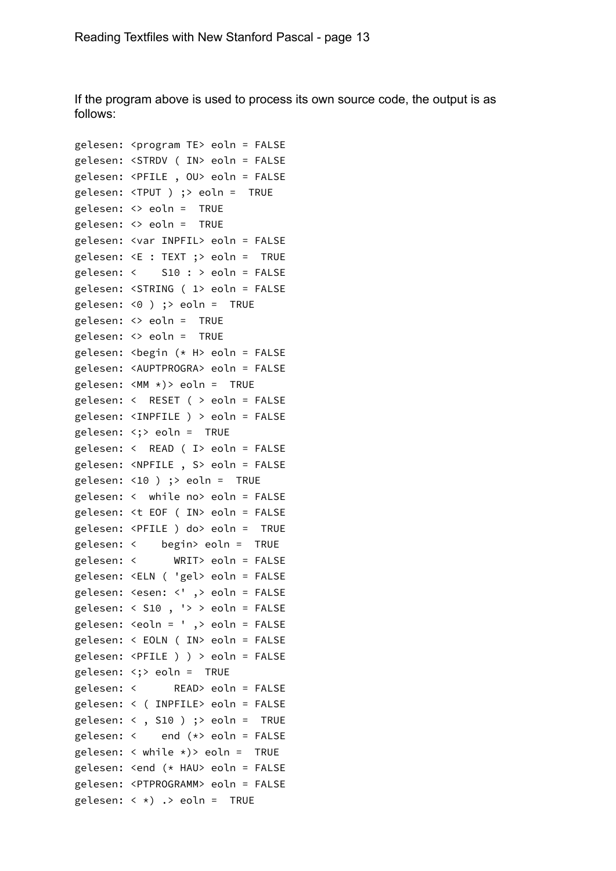If the program above is used to process its own source code, the output is as follows:

```
gelesen: <program TE> eoln = FALSE
gelesen: <STRDV ( IN> eoln = FALSE
gelesen: <PFILE , OU> eoln = FALSE
gelesen: <TPUT ) ;> eoln = TRUE
gelesen: <> eoln = TRUE
gelesen: <> eoln = TRUE
gelesen: <var INPFIL> eoln = FALSE
gelesen: <E : TEXT ;> eoln = TRUE
gelesen: < S10 : > eoln = FALSE
gelesen: <STRING ( 1> eoln = FALSE
gelesen: <0 ) ;> eoln = TRUE
gelesen: <> eoln = TRUE
gelesen: <> eoln = TRUE
gelesen: <begin (* H> eoln = FALSE
gelesen: <AUPTPROGRA> eoln = FALSE
gelesen: <MM *)> eoln = TRUE
gelesen: < RESET ( > eoln = FALSE
gelesen: <INPFILE ) > eoln = FALSE
gelesen: <;> eoln = TRUE
gelesen: < READ ( I> eoln = FALSE
gelesen: <NPFILE , S> eoln = FALSE
gelesen: <10 ) ;> eoln = TRUE
gelesen: < while no> eoln = FALSE
gelesen: <t EOF ( IN> eoln = FALSE
gelesen: <PFILE ) do> eoln = TRUE
gelesen: < begin> eoln = TRUE
gelesen: < WRIT> eoln = FALSE
gelesen: <ELN ( 'gel> eoln = FALSE
gelesen: <esen: <' ,> eoln = FALSE
gelesen: < S10 , '> > eoln = FALSE
gelesen: <eoln = ' ,> eoln = FALSE
gelesen: < EOLN ( IN> eoln = FALSE
gelesen: <PFILE ) ) > eoln = FALSE
gelesen: <;> eoln = TRUE
gelesen: < READ> eoln = FALSE
gelesen: < ( INPFILE> eoln = FALSE
gelesen: < , S10 ) ;> eoln = TRUE
gelesen: < end (*> eoln = FALSE
gelesen: \langle while \star) > eoln = TRUE
gelesen: <end (* HAU> eoln = FALSE
gelesen: <PTPROGRAMM> eoln = FALSE
gelesen: \langle * \rangle .> eoln = TRUE
```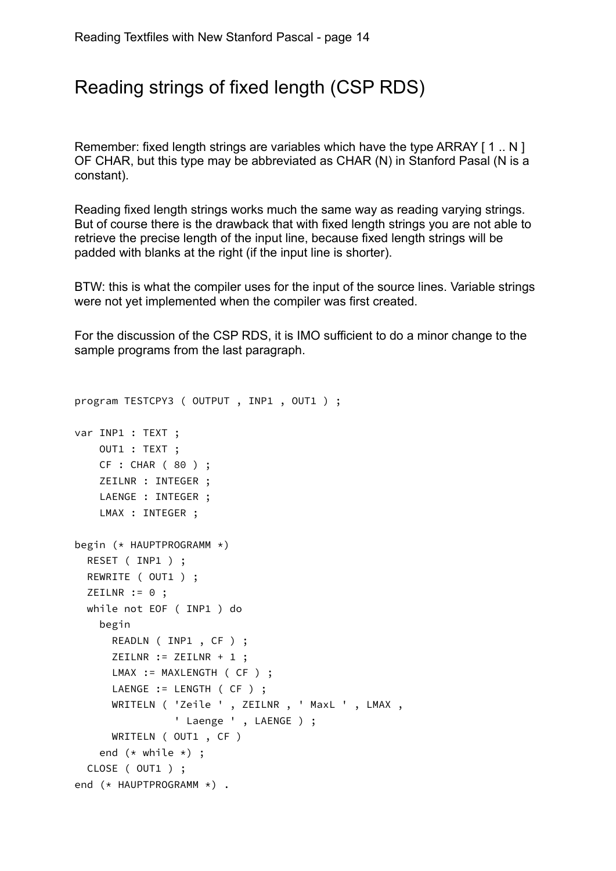### Reading strings of fixed length (CSP RDS)

Remember: fixed length strings are variables which have the type ARRAY [1.. N] OF CHAR, but this type may be abbreviated as CHAR (N) in Stanford Pasal (N is a constant).

Reading fixed length strings works much the same way as reading varying strings. But of course there is the drawback that with fixed length strings you are not able to retrieve the precise length of the input line, because fixed length strings will be padded with blanks at the right (if the input line is shorter).

BTW: this is what the compiler uses for the input of the source lines. Variable strings were not yet implemented when the compiler was first created.

For the discussion of the CSP RDS, it is IMO sufficient to do a minor change to the sample programs from the last paragraph.

```
program TESTCPY3 ( OUTPUT , INP1 , OUT1 ) ;
var INP1 : TEXT ;
     OUT1 : TEXT ;
     CF : CHAR ( 80 ) ;
     ZEILNR : INTEGER ;
    LAENGE : INTEGER ;
     LMAX : INTEGER ;
begin (* HAUPTPROGRAMM *)
   RESET ( INP1 ) ;
   REWRITE ( OUT1 ) ;
  ZEILNR := 0;
   while not EOF ( INP1 ) do
     begin
       READLN ( INP1 , CF ) ;
       ZEILNR := ZEILNR + 1 ;
      LMAX := MAXLENGTH ( CF ) ;
      LAENGE := LENGTH ( CF ) ;
       WRITELN ( 'Zeile ' , ZEILNR , ' MaxL ' , LMAX , 
                ' Laenge ', LAENGE ) ;
      WRITELN ( OUT1 , CF )
    end (* while *) ;
   CLOSE ( OUT1 ) ;
end (* HAUPTPROGRAMM *) .
```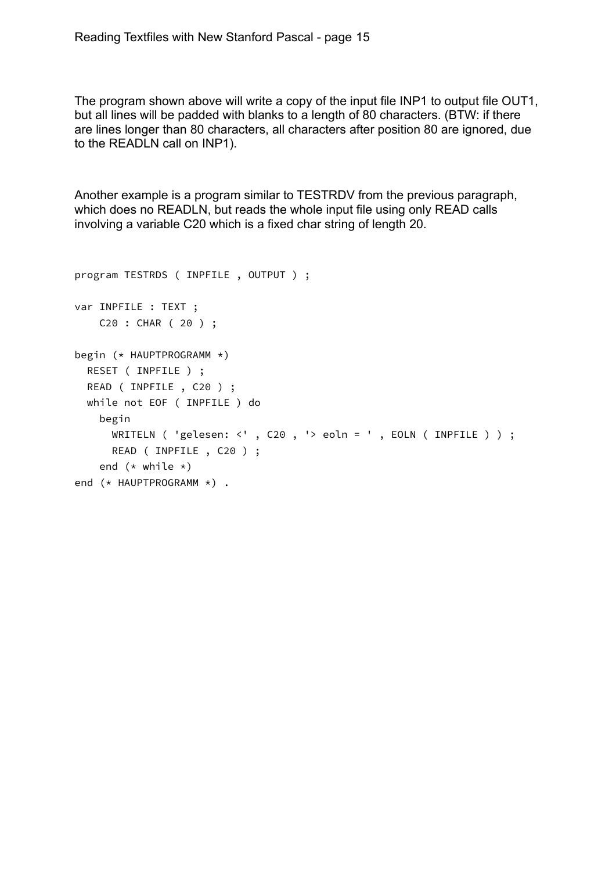The program shown above will write a copy of the input file INP1 to output file OUT1, but all lines will be padded with blanks to a length of 80 characters. (BTW: if there are lines longer than 80 characters, all characters after position 80 are ignored, due to the READLN call on INP1).

Another example is a program similar to TESTRDV from the previous paragraph, which does no READLN, but reads the whole input file using only READ calls involving a variable C20 which is a fixed char string of length 20.

```
program TESTRDS ( INPFILE , OUTPUT ) ;
var INPFILE : TEXT ;
     C20 : CHAR ( 20 ) ;
begin (* HAUPTPROGRAMM *)
   RESET ( INPFILE ) ;
   READ ( INPFILE , C20 ) ;
   while not EOF ( INPFILE ) do
     begin
       WRITELN ( 'gelesen: <' , C20 , '> eoln = ' , EOLN ( INPFILE ) ) ;
       READ ( INPFILE , C20 ) ;
    end (* while *)end (* HAUPTPROGRAMM *) .
```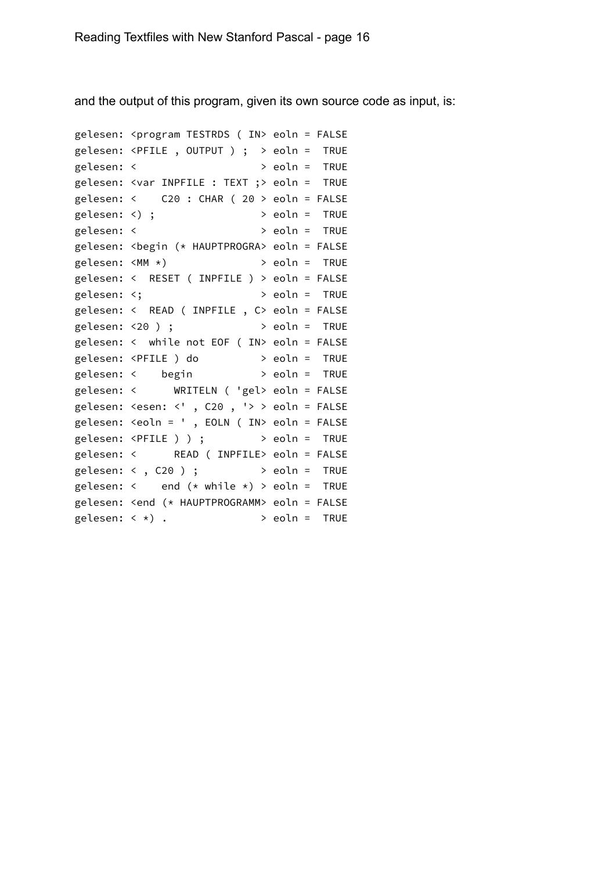and the output of this program, given its own source code as input, is:

```
gelesen: <program TESTRDS ( IN> eoln = FALSE
gelesen: <PFILE , OUTPUT ) ; > eoln = TRUE
gelesen: < > eoln = TRUE
gelesen: <var INPFILE : TEXT ;> eoln = TRUE
gelesen: < C20 : CHAR ( 20 > eoln = FALSE
gelesen: <) ; > eoln = TRUE
gelesen: < > eoln = TRUE
gelesen: <begin (* HAUPTPROGRA> eoln = FALSE
gelesen: <MM *) > eoln = TRUE
gelesen: < RESET ( INPFILE ) > eoln = FALSE
gelesen: <; > eoln = TRUE
gelesen: < READ ( INPFILE , C> eoln = FALSE
gelesen: <20 ) ; > eoln = TRUE
gelesen: < while not EOF ( IN> eoln = FALSE
gelesen: <PFILE ) do > eoln = TRUE
gelesen: < begin > eoln = TRUE
gelesen: < WRITELN ( 'gel> eoln = FALSE
gelesen: \leesen: \le', C20, '> > eoln = FALSE
gelesen: <eoln = ' , EOLN ( IN> eoln = FALSE
gelesen: <PFILE ) ) ; > eoln = TRUE
gelesen: < READ ( INPFILE> eoln = FALSE
gelesen: \langle, C20 ); \rangle eoln = TRUE
gelesen: \leftarrow end (\star \text{ while } \star) > eoln = TRUE
gelesen: <end (* HAUPTPROGRAMM> eoln = FALSE
gelesen: \langle * \rangle . \qquad \qquad > eoln = TRUE
```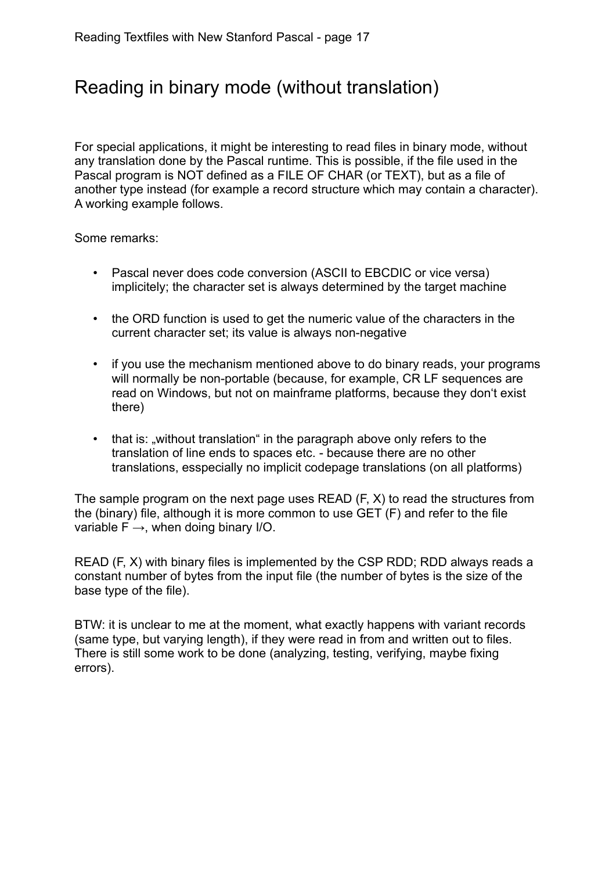# Reading in binary mode (without translation)

For special applications, it might be interesting to read files in binary mode, without any translation done by the Pascal runtime. This is possible, if the file used in the Pascal program is NOT defined as a FILE OF CHAR (or TEXT), but as a file of another type instead (for example a record structure which may contain a character). A working example follows.

Some remarks:

- Pascal never does code conversion (ASCII to EBCDIC or vice versa) implicitely; the character set is always determined by the target machine
- the ORD function is used to get the numeric value of the characters in the current character set; its value is always non-negative
- if you use the mechanism mentioned above to do binary reads, your programs will normally be non-portable (because, for example, CR LF sequences are read on Windows, but not on mainframe platforms, because they don't exist there)
- that is: "without translation" in the paragraph above only refers to the translation of line ends to spaces etc. - because there are no other translations, esspecially no implicit codepage translations (on all platforms)

The sample program on the next page uses READ (F, X) to read the structures from the (binary) file, although it is more common to use GET (F) and refer to the file variable  $F \rightarrow$ , when doing binary I/O.

READ (F, X) with binary files is implemented by the CSP RDD; RDD always reads a constant number of bytes from the input file (the number of bytes is the size of the base type of the file).

BTW: it is unclear to me at the moment, what exactly happens with variant records (same type, but varying length), if they were read in from and written out to files. There is still some work to be done (analyzing, testing, verifying, maybe fixing errors).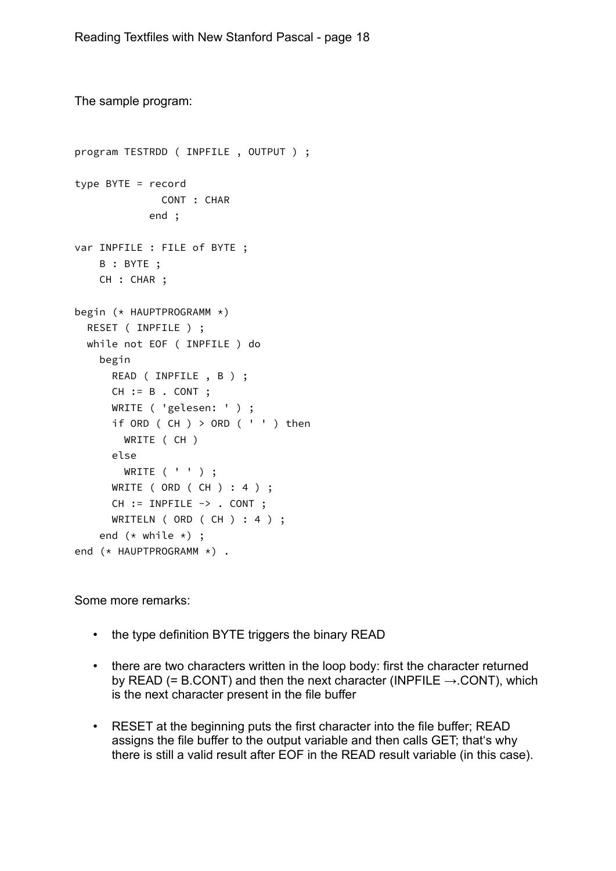```
The sample program: 
program TESTRDD ( INPFILE , OUTPUT ) ;
type BYTE = record
              CONT : CHAR
             end ;
var INPFILE : FILE of BYTE ;
     B : BYTE ;
     CH : CHAR ;
begin (* HAUPTPROGRAMM *)
   RESET ( INPFILE ) ;
  while not EOF ( INPFILE ) do
     begin
       READ ( INPFILE , B ) ;
      CH := B . CONT ;
       WRITE ( 'gelesen: ' ) ;
      if ORD ( CH ) > ORD ( ' ' ) then
         WRITE ( CH )
       else
         WRITE ( ' ' ) ;
       WRITE ( ORD ( CH ) : 4 ) ;
       CH := INPFILE -> . CONT ;
      WRITELN ( ORD ( CH ) : 4 ) ;
    end (* while *) ;
end (* HAUPTPROGRAMM *) .
```
Some more remarks:

- the type definition BYTE triggers the binary READ
- there are two characters written in the loop body: first the character returned by READ (= B.CONT) and then the next character (INPFILE  $\rightarrow$  CONT), which is the next character present in the file buffer
- RESET at the beginning puts the first character into the file buffer; READ assigns the file buffer to the output variable and then calls GET; that's why there is still a valid result after EOF in the READ result variable (in this case).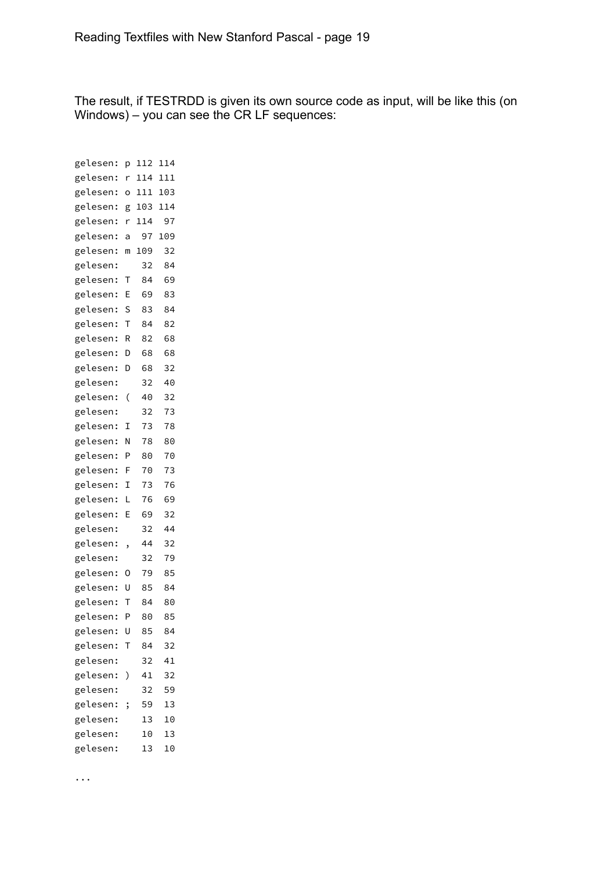The result, if TESTRDD is given its own source code as input, will be like this (on Windows) – you can see the CR LF sequences:

| gelesen: | р | 112 | 114 |
|----------|---|-----|-----|
| gelesen: | r | 114 | 111 |
| gelesen: | Ó | 111 | 103 |
| gelesen: | g | 103 | 114 |
| gelesen: | r | 114 | 97  |
| gelesen: | a | 97  | 109 |
| gelesen: | m | 109 | 32  |
| gelesen: |   | 32  | 84  |
| gelesen: | Т | 84  | 69  |
| gelesen: | E | 69  | 83  |
| gelesen: | S | 83  | 84  |
| gelesen: | т | 84  | 82  |
| gelesen: | R | 82  | 68  |
| gelesen: | D | 68  | 68  |
| gelesen: | D | 68  | 32  |
| gelesen: |   | 32  | 40  |
| gelesen: | ( | 40  | 32  |
| gelesen: |   | 32  | 73  |
| gelesen: | I | 73  | 78  |
| gelesen: | Ν | 78  | 80  |
| gelesen: | Ρ | 80  | 70  |
| gelesen: | F | 70  | 73  |
| gelesen: | I | 73  | 76  |
| gelesen: | L | 76  | 69  |
| gelesen: | E | 69  | 32  |
| gelesen: |   | 32  | 44  |
| gelesen: | , | 44  | 32  |
| gelesen: |   | 32  | 79  |
| gelesen: | 0 | 79  | 85  |
| gelesen: | U | 85  | 84  |
| gelesen: | T | 84  | 80  |
| gelesen: | P | 80  | 85  |
| gelesen: | U | 85  | 84  |
| gelesen: | Т | 84  | 32  |
| gelesen: |   | 32  | 41  |
| gelesen: | ⟩ | 41  | 32  |
| gelesen: |   | 32  | 59  |
| gelesen: | ; | 59  | 13  |
| gelesen: |   | 13  | 10  |
| gelesen: |   | 10  | 13  |
| gelesen: |   | 13  | 10  |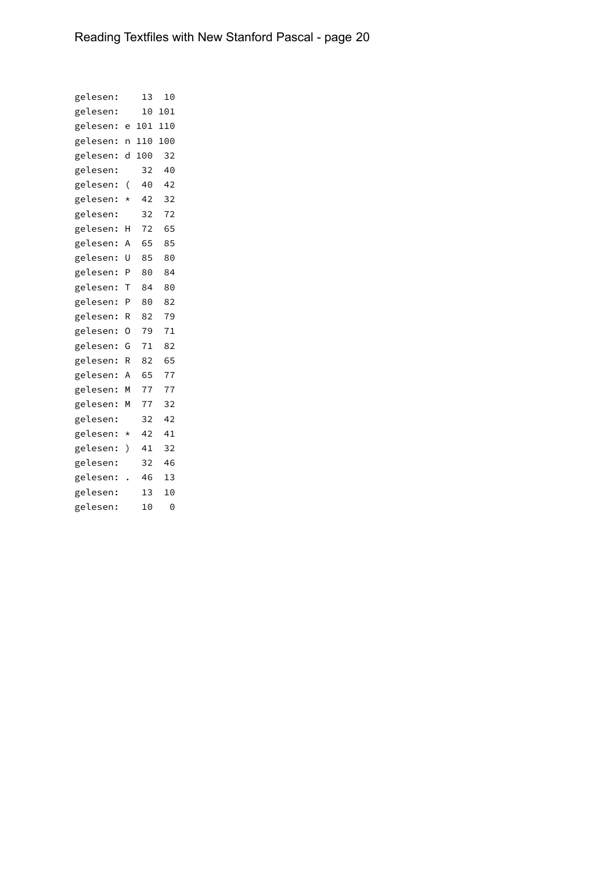| gelesen: |          | 13  | 10  |  |
|----------|----------|-----|-----|--|
| gelesen: |          | 10  | 101 |  |
| gelesen: | e        | 101 | 110 |  |
| gelesen: | n        | 110 | 100 |  |
| gelesen: | d        | 100 | 32  |  |
| gelesen: |          | 32  | 40  |  |
| gelesen: | (        | 40  | 42  |  |
| gelesen: | $^\star$ | 42  | 32  |  |
| gelesen: |          | 32  | 72  |  |
| gelesen: | Н        | 72  | 65  |  |
| gelesen: | Α        | 65  | 85  |  |
| gelesen: | Ū        | 85  | 80  |  |
| gelesen: | P        | 80  | 84  |  |
| gelesen: | т        | 84  | 80  |  |
| gelesen: | P        | 80  | 82  |  |
| gelesen: | R        | 82  | 79  |  |
| gelesen: | $\Omega$ | 79  | 71  |  |
| gelesen: | G        | 71  | 82  |  |
| gelesen: | R        | 82  | 65  |  |
| gelesen: | A        | 65  | 77  |  |
| gelesen: | M        | 77  | 77  |  |
| gelesen: | М        | 77  | 32  |  |
| gelesen: |          | 32  | 42  |  |
| gelesen: | $^\star$ | 42  | 41  |  |
| gelesen: | )        | 41  | 32  |  |
| gelesen: |          | 32  | 46  |  |
| gelesen: |          | 46  | 13  |  |
| gelesen: |          | 13  | 10  |  |
| gelesen: |          | 10  | 0   |  |